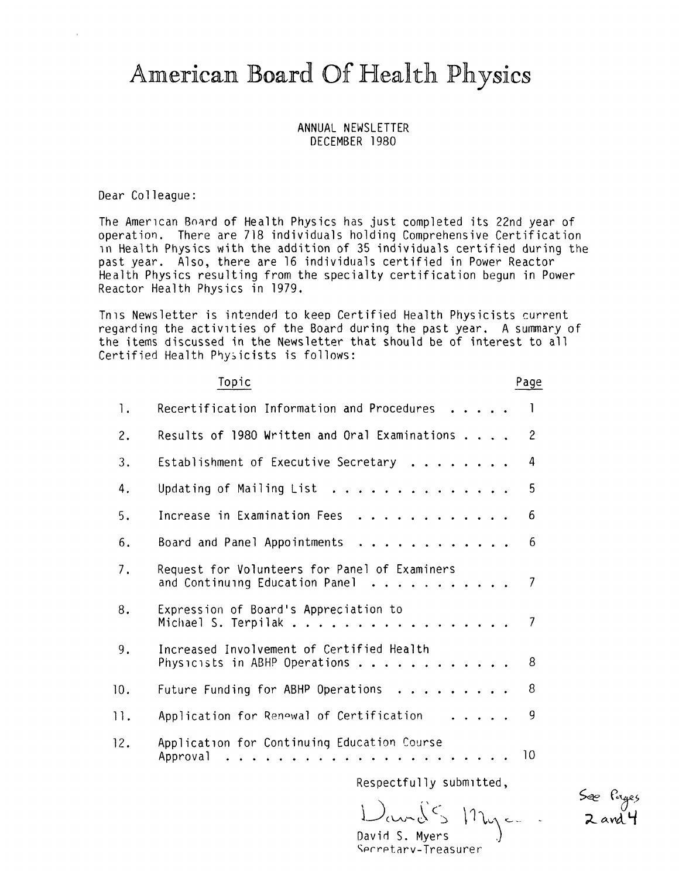# American Board Of Health Physics

# ANNUAL NEWSLETTER DECEMBER 1980

Dear Colleague:

The American Board of Health Physics has just completed its 22nd year of operation. There are 718 individuals holding Comprehensive Certification in Health Physics with the addition of 35 individuals certified during the past year. Also, there are 16 individuals certified in Power Reactor Health Physics resulting from the specialty certification begun in Power Reactor Health Physics in 1979.

Tnis Newsletter is intended to keep Certified Health Physicists current regarding the activities of the Board during the past year. A summary of the items discussed in the Newsletter that should be of interest to all Certified Health Physicists is follows:

|     | Topic                                                                                                         | Page           |
|-----|---------------------------------------------------------------------------------------------------------------|----------------|
| 1.  | Recertification Information and Procedures                                                                    | 1              |
| 2.  | Results of 1980 Written and Oral Examinations                                                                 | $\overline{c}$ |
| 3.  | Establishment of Executive Secretary                                                                          | 4              |
| 4.  | Updating of Mailing List $\ldots$                                                                             | 5              |
| 5.  | Increase in Examination Fees<br>.                                                                             | 6              |
| 6.  | Board and Panel Appointments<br>. <i>.</i> .                                                                  | 6              |
| 7.  | Request for Volunteers for Panel of Examiners<br>and Continuing Education Panel $\cdots$                      | 7              |
| 8.  | Expression of Board's Appreciation to<br>Michael S. Terpilak                                                  | 7              |
| 9.  | Increased Involvement of Certified Health<br>Physicists in ABHP Operations                                    | 8              |
| 10. | Future Funding for ABHP Operations $\dots \dots \dots$                                                        | 8              |
| 11. | Application for Renewal of Certification<br>.                                                                 | 9              |
| 12. | Application for Continuing Education Course<br>Approval<br>$\mathbf{r}$ . The state of the state $\mathbf{r}$ | 10             |
|     | Respectfully submitted,                                                                                       |                |

 $D_{\alpha\alpha\alpha}$  $S_{\alpha\beta}$   $n_{\alpha\beta}$ David S. Myers

See Pages<br>2 and 4

Secretary-Treasurer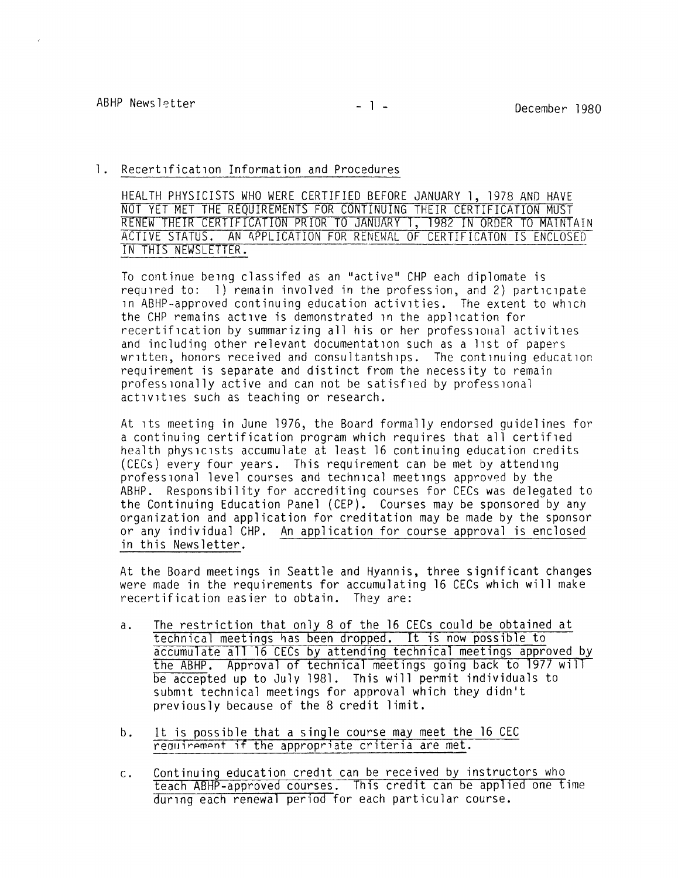#### 1. Recertification Information and Procedures

HEALTH PHYSICISTS WHO WERE CERTIFIED BEFORE JANUARY 1, 1978 AND HAVE NOT YET MET THE REQUIREMENTS FOR CONTINUING THEIR CERTIFICATION MUST RENEW THEIR CERTIFICATION PRIOR TO JANUARY 1, 1982 IN ORDER TO MAINTAIN ACTIVE STATUS. AN APPLICATION FOR RENEWAL OF CERTIFICATON IS ENCLOSED IN THIS NEWSLETTER.

To continue being classifed as an "active" CHP each diplomate is required to: 1) remain involved in the profession, and 2) participate 1n ABHP-approved continuing education activities. The extent to which the CHP remains active is demonstrated 1n the application for recertification by summarizing all his or her professional activities and including other relevant documentation such as a list of papers written, honors received and consultantships. The continuing education requirement is separate and distinct from the necessity to remain professionally active and can not be satisfied by professional activities such as teaching or research.

At ,ts meeting in June 1976, the Board formally endorsed guidelines for a continuing certification program which requires that all certified health physicists accumulate at least 16 continuing education credits (CECs) every four years. This requirement can be met by attending professional level courses and technical meetings approved by the ABHP. Responsibility for accrediting courses for CECs was delegated to the Continuing Education Panel (CEP). Courses may be sponsored by any organization and application for creditation may be made by the sponsor or any individual CHP. An application for course approval is enclosed in this Newsletter.

At the Board meetings in Seattle and Hyannis, three significant changes were made in the requirements for accumulating 16 CECs which will make recertification easier to obtain. They are:

- a. The restriction that only 8 of the 16 CECs could be obtained at technical meetings has been dropped. It is now possible to accumulate **all** 16 CECs by attending technical meetings approved by the ABHP. Approval of technical meetings going back to 1977 will be accepted up to July 1981. This will permit individuals to submit technical meetings for approval which they didn't previously because of the 8 credit limit.
- b. It is possible that a single course may meet the 16 CEC requirement if the appropriate criteria are met.
- C Continuing education credit can be received by instructors who teach ABHP-approved courses. This credit can be applied one time during each renewal period for each particular course.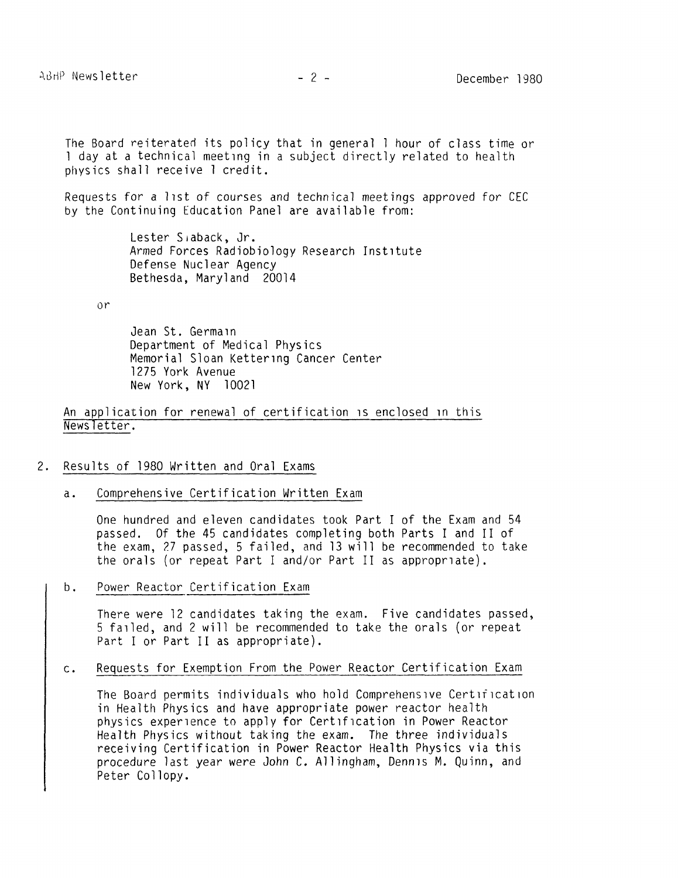The Board reiterated its policy that in general I hour of class time or l day at a technical meeting in a subject directly related to health physics shall receive l credit.

Requests for a 11st of courses and technical meetings approved for CEC by the Continuing Education Panel are available from:

> Lester S1aback, Jr. Armed Forces Radiobiology Research Institute Defense Nuclear Agency Bethesda, Maryland 20014

or

Jean St. Germain Department of Medical Physics Memorial Sloan Kettering Cancer Center 1275 York Avenue New York, NY 10021

An application for renewal of certification is enclosed in this Newsletter.

#### 2. Results of 1980 Written and Oral Exams

a. Comprehensive Certification Written Exam

One hundred and eleven candidates took Part I of the Exam and 54 passed. Of the 45 candidates completing both Parts I and II of the exam, 27 passed, 5 failed, and 13 will be recommended to take the orals (or repeat Part I and/or Part II as appropriate).

b. Power Reactor Certification Exam

There were 12 candidates taking the exam. Five candidates passed, 5 failed, and 2 will be recommended to take the orals (or repeat Part I or Part II as appropriate).

C • Requests for Exemption From the Power Reactor Certification Exam

The Board permits individuals who hold Comprehensive Certification in Health Physics and have appropriate power reactor health physics experience to apply for Certification in Power Reactor Health Physics without taking the exam. The three individuals receiving Certification in Power Reactor Health Physics via this procedure last year were John C. Allingham, Dennis M. Quinn, and Peter Collopy.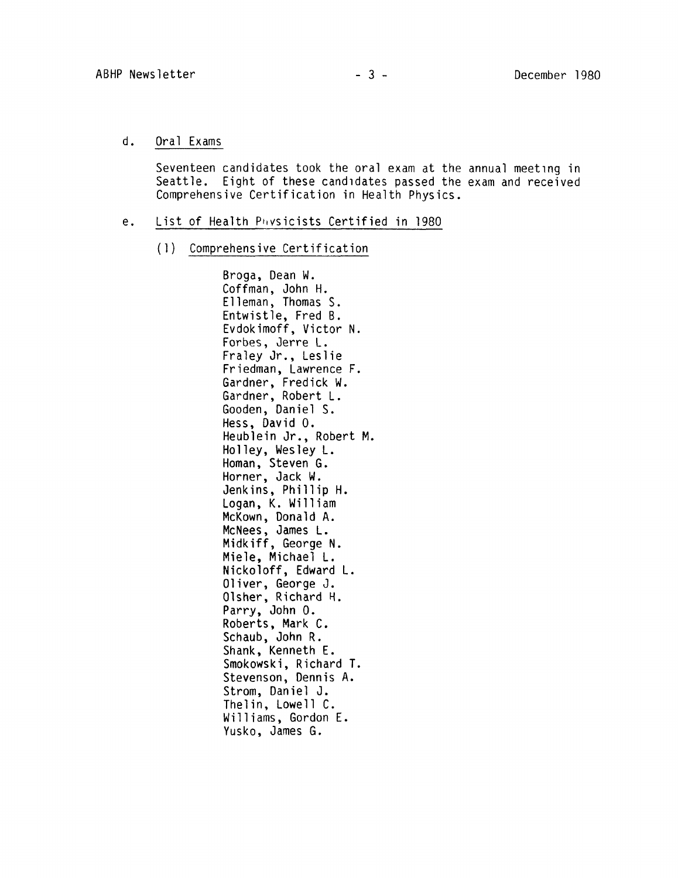d. Oral Exams

Seventeen candidates took the oral exam at the annual meeting in Seattle. Eight of these candidates passed the exam and received Comprehensive Certification in Health Physics.

- e. List of Health P1,vsicists Certified in 1980
	- (1) Comprehensive Certification

Broga, Dean **W.**  Coffman, John H. Elleman, Thomas S. Entwistle, Fred B. Evdokimoff, Victor **N.**  Forbes, Jerre L. Fraley Jr., Leslie Friedman, Lawrence F. Gardner, Fredick **W.**  Gardner, Robert L. Gooden, Daniel S. Hess, David O. Heublein Jr., Robert M. Holley, Wesley L. Homan, Steven G. Horner, Jack W. Jenkins, Phillip H. Logan, K. William McKown, Donald A. McNees, James L. **Midkiff, George N.**  Miele, Michael L. Nickoloff, Edward L. Oliver, George J. Olsher, Richard H. Parry, John 0. Roberts, Mark C. Schaub, John R. Shank, Kenneth E. Smokowski, Richard T. Stevenson, Dennis A. Strom, Daniel J. Thelin, Lowell C. Williams, Gordon E. Yusko, James G.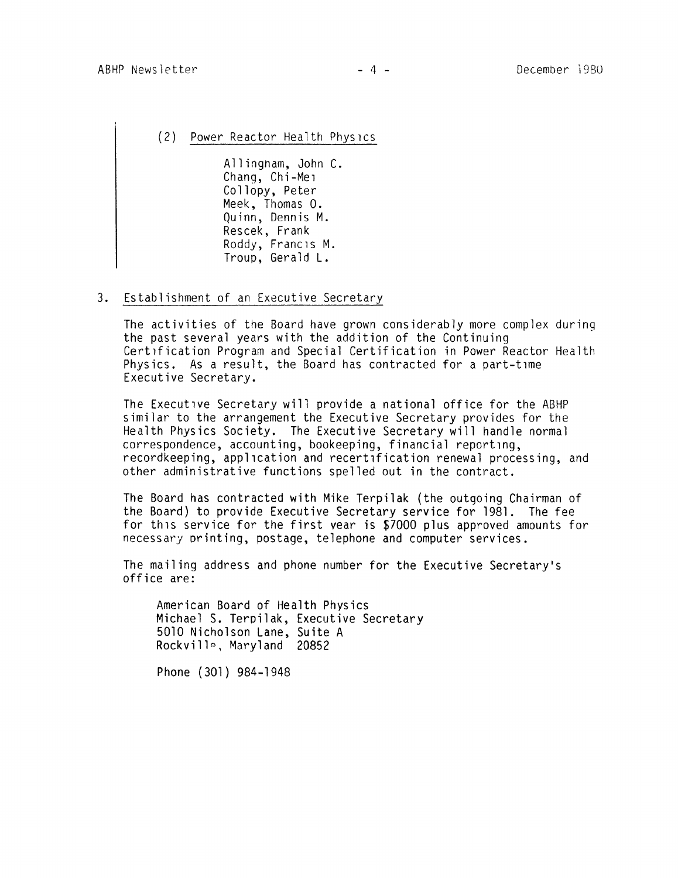(2) Power Reactor Health Physics

Allingham, John C. Chang, Chi-Mei Collopy, Peter Meek, Thomas O. Quinn, Dennis M. Rescek, Frank Roddy, Francis M. Troup, Gerald L.

#### 3. Establishment of an Executive Secretary

The activities of the Board have grown considerably more complex during the past several years with the addition of the Continuing Certification Program and Special Certification in Power Reactor Health Physics. As a result, the Board has contracted for a part-time Executive Secretary.

The Executive Secretary will provide a national office for the ABHP similar to the arrangement the Executive Secretary provides for the Health Physics Society. The Executive Secretary will handle normal correspondence, accounting, bookeeping, financial reporting, recordkeeping, application and recertification renewal processing, and other administrative functions spelled out in the contract.

The Board has contracted with Mike Terpilak (the outgoing Chairman of the Board) to provide Executive Secretary service for 1981. The fee for this service for the first vear is \$7000 plus approved amounts for necessary printing, postage, telephone and computer services.

The mailing address and phone number for the Executive Secretary's office are:

American Board of Health Physics Michael S. Terpilak, Executive Secretary 5010 Nicholson Lane, Suite A Rockville, Maryland 20852

Phone (301) 984-1948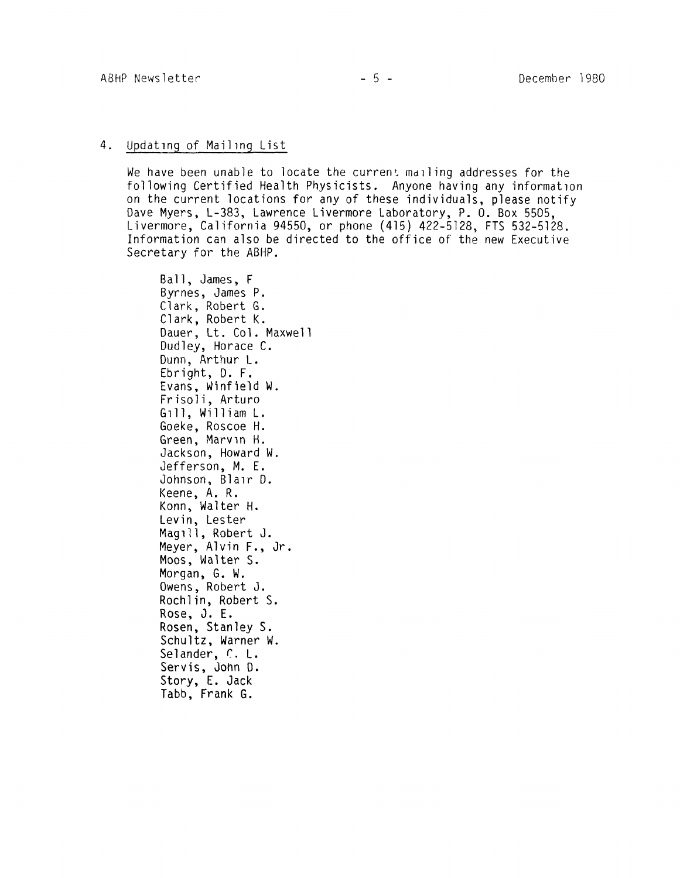# 4. Updating of Mailing List

We have been unable to locate the current mailing addresses for the following Certified Health Physicists. Anyone having any information on the current locations for any of these individuals, please notify Dave Myers, L-383, Lawrence Livermore Laboratory, P. O. Box 5505, Livermore, California 94550, or phone (415) 422-5128, FTS 532-5128. Information can also be directed to the office of the new Executive Secretary for the ABHP.

Ball, James, F Byrnes, James P. Clark, Robert G. Clark, Robert K. Dauer, Lt. Col. Maxwell Dudley, Horace C. Dunn, Arthur L. Ebright, D. F. Evans, Winfield W. Frisoli, Arturo G 1 11 , **W** i 11 i am L . Goeke, Roscoe H. Green, Marv in H. Jackson, Howard W. Jefferson, **M.** E. Johnson, Blair D. Keene, A. R. Konn, Walter H. Levin, Lester Magill, Robert J. Meyer, Alvin F., Jr. Moos, Walter S. Morgan, G. W. Owens, Robert J. Rochlin, Robert S. Rose, J. E. Rosen, Stanley S. Schultz, Warner W. Selander, C. L. Servis, John D. Story, E. Jack Tabb, Frank G.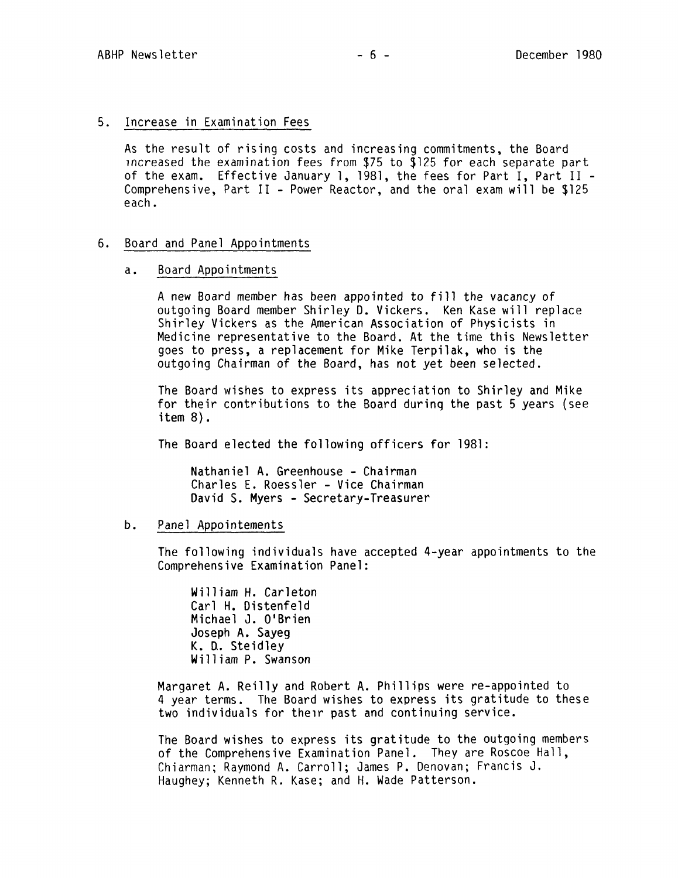## 5. Increase in Examination Fees

As the result of rising costs and increasing commitments, the Board 1ncreased the examination fees from \$75 to \$125 for each separate part of the exam. Effective January 1, 1981, the fees for Part I, Part II - Comprehensive, Part II - Power Reactor, and the oral exam will be \$125 each.

### 6. Board and Panel Appointments

#### a. Board Appointments

A new Board member has been appointed to fill the vacancy of outgoing Board member Shirley D. Vickers. Ken Kase will replace Shirley Vickers as the American Association of Physicists in Medicine representative to the Board. At the time this Newsletter goes to press, a replacement for Mike Terpilak, who is the outgoing Chairman of the Board, has not yet been selected.

The Board wishes to express its appreciation to Shirley and Mike for their contributions to the Board during the past 5 years (see item 8).

The Board elected the following officers for 1981:

Nathaniel A. Greenhouse - Chairman Charles E. Roessler - Vice Chairman David S. Myers - Secretary-Treasurer

# b. Panel Appointements

The following individuals have accepted 4-year appointments to the Comprehensive Examination Panel:

William H. Carleton Carl H. Distenfeld Michael J. O'Brien Joseph A. Sayeg K. U. Steidley William P. Swanson

Margaret A. Reilly and Robert A. Phillips were re-appointed to 4 year terms. The Board wishes to express its gratitude to these two individuals for their past and continuing service.

The Board wishes to express its gratitude to the outgoing members of the Comprehensive Examination Panel. They are Roscoe Hall, Chiarman; Raymond A. Carroll; James P. Denovan; Francis J. Haughey; Kenneth R. Kase; and H. Wade Patterson.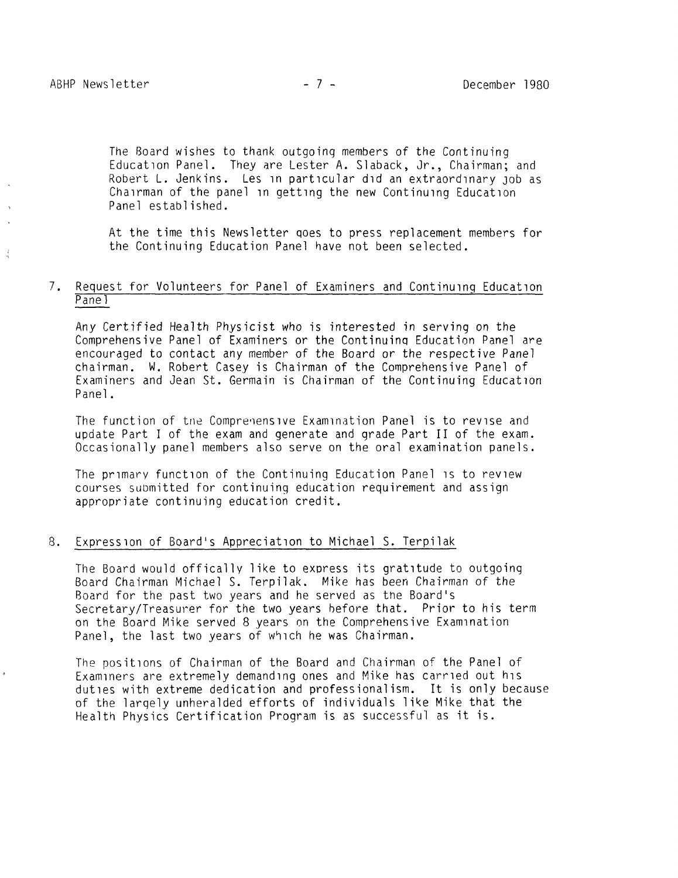The Board wishes to thank outgoing members of the Continuing Education Panel. They are Lester A. Slaback, Jr., Chairman; and Robert L. Jenkins. Les in particular did an extraordinary Job as Chairman of the panel in getting the new Continuing Education Panel established.

At the time this Newsletter qoes to press replacement members for the Continuing Education Panel have not been selected.

# 7. Request for Volunteers for Panel of Examiners and Continuing Education Pane<sub>1</sub>

Any Certified Health Physicist who is interested in serving on the Comprehensive Panel of Examiners or the Continuinq Education Panel are encouraged to contact any member of the Board or the respective Panel chairman. W. Robert Casey is Chairman of the Comprehensive Panel of Examiners and Jean St. Germain is Chairman of the Continuing Education Panel.

The function of the Comprenensive Examination Panel is to revise and update Part I of the exam and generate and grade Part II of the exam. Occasionally panel members also serve on the oral examination panels.

The primary function of the Continuing Education Panel is to review courses suDmitted for continuing education requirement and assign appropriate continuing education credit.

#### 8. Expression of Board's Appreciation to Michael S. Terpilak

The Board would offically like to exoress its gratitude to outgoing Board Chairman Michael S. Terpilak. Mike has been Chairman of the Board for the past two years and he served as tne Board's Secretary/Treasurer for the two years hefore that. Prior to his term on the Board Mike served 8 years on the Comprehensive Examination Panel, the last two years of which he was Chairman.

The positions of Chairman of the Board and Chairman of the Panel of Examiners are extremely demanding ones and Mike has carried out his duties with extreme dedication and professionalism. It is only because of the largely unheralded efforts of individuals like Mike that the Health Physics Certification Program is as successful as it is.